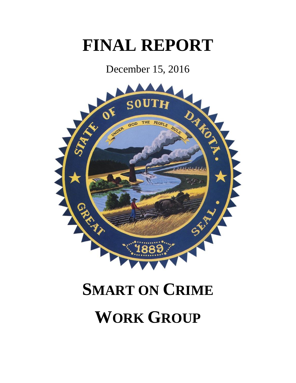# **FINAL REPORT**

December 15, 2016



# **SMART ON CRIME**

# **WORK GROUP**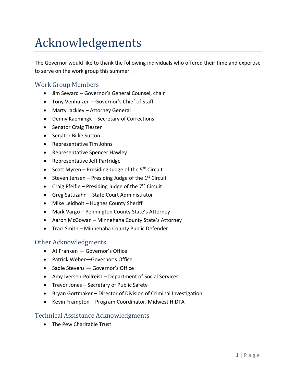# Acknowledgements

The Governor would like to thank the following individuals who offered their time and expertise to serve on the work group this summer.

### Work Group Members

- Jim Seward Governor's General Counsel, chair
- Tony Venhuizen Governor's Chief of Staff
- Marty Jackley Attorney General
- Denny Kaemingk Secretary of Corrections
- Senator Craig Tieszen
- Senator Billie Sutton
- Representative Tim Johns
- Representative Spencer Hawley
- Representative Jeff Partridge
- Scott Myren Presiding Judge of the  $5<sup>th</sup>$  Circuit
- Steven Jensen Presiding Judge of the  $1<sup>st</sup>$  Circuit
- Craig Pfeifle Presiding Judge of the  $7<sup>th</sup>$  Circuit
- Greg Sattizahn State Court Administrator
- Mike Leidholt Hughes County Sheriff
- Mark Vargo Pennington County State's Attorney
- Aaron McGowan Minnehaha County State's Attorney
- Traci Smith Minnehaha County Public Defender

#### Other Acknowledgments

- AJ Franken Governor's Office
- Patrick Weber—Governor's Office
- Sadie Stevens Governor's Office
- Amy Iversen-Pollreisz Department of Social Services
- Trevor Jones Secretary of Public Safety
- Bryan Gortmaker Director of Division of Criminal Investigation
- Kevin Frampton Program Coordinator, Midwest HIDTA

#### Technical Assistance Acknowledgments

• The Pew Charitable Trust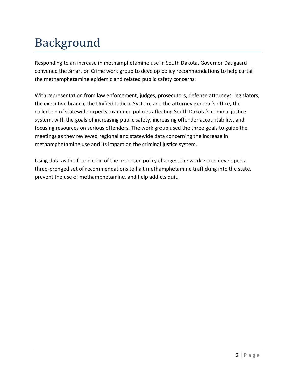# Background

Responding to an increase in methamphetamine use in South Dakota, Governor Daugaard convened the Smart on Crime work group to develop policy recommendations to help curtail the methamphetamine epidemic and related public safety concerns.

With representation from law enforcement, judges, prosecutors, defense attorneys, legislators, the executive branch, the Unified Judicial System, and the attorney general's office, the collection of statewide experts examined policies affecting South Dakota's criminal justice system, with the goals of increasing public safety, increasing offender accountability, and focusing resources on serious offenders. The work group used the three goals to guide the meetings as they reviewed regional and statewide data concerning the increase in methamphetamine use and its impact on the criminal justice system.

Using data as the foundation of the proposed policy changes, the work group developed a three-pronged set of recommendations to halt methamphetamine trafficking into the state, prevent the use of methamphetamine, and help addicts quit.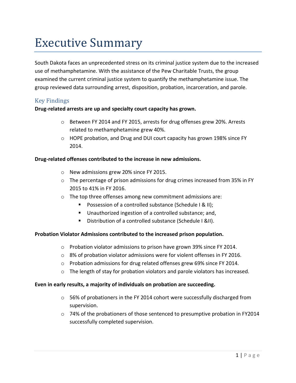# Executive Summary

South Dakota faces an unprecedented stress on its criminal justice system due to the increased use of methamphetamine. With the assistance of the Pew Charitable Trusts, the group examined the current criminal justice system to quantify the methamphetamine issue. The group reviewed data surrounding arrest, disposition, probation, incarceration, and parole.

#### Key Findings

#### **Drug-related arrests are up and specialty court capacity has grown.**

- o Between FY 2014 and FY 2015, arrests for drug offenses grew 20%. Arrests related to methamphetamine grew 40%.
- o HOPE probation, and Drug and DUI court capacity has grown 198% since FY 2014.

#### **Drug-related offenses contributed to the increase in new admissions.**

- o New admissions grew 20% since FY 2015.
- $\circ$  The percentage of prison admissions for drug crimes increased from 35% in FY 2015 to 41% in FY 2016.
- o The top three offenses among new commitment admissions are:
	- **Possession of a controlled substance (Schedule I & II);**
	- Unauthorized ingestion of a controlled substance; and,
	- Distribution of a controlled substance (Schedule I &II).

#### **Probation Violator Admissions contributed to the increased prison population.**

- o Probation violator admissions to prison have grown 39% since FY 2014.
- o 8% of probation violator admissions were for violent offenses in FY 2016.
- o Probation admissions for drug related offenses grew 69% since FY 2014.
- $\circ$  The length of stay for probation violators and parole violators has increased.

#### **Even in early results, a majority of individuals on probation are succeeding.**

- $\circ$  56% of probationers in the FY 2014 cohort were successfully discharged from supervision.
- o 74% of the probationers of those sentenced to presumptive probation in FY2014 successfully completed supervision.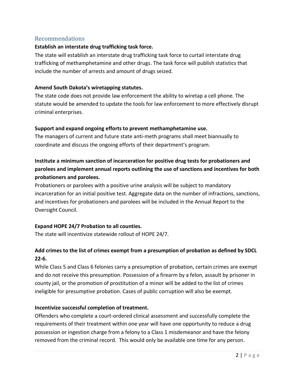#### Recommendations

#### **Establish an interstate drug trafficking task force.**

The state will establish an interstate drug trafficking task force to curtail interstate drug trafficking of methamphetamine and other drugs. The task force will publish statistics that include the number of arrests and amount of drugs seized.

#### **Amend South Dakota's wiretapping statutes.**

The state code does not provide law enforcement the ability to wiretap a cell phone. The statute would be amended to update the tools for law enforcement to more effectively disrupt criminal enterprises.

#### **Support and expand ongoing efforts to prevent methamphetamine use.**

The managers of current and future state anti-meth programs shall meet biannually to coordinate and discuss the ongoing efforts of their department's program.

#### **Institute a minimum sanction of incarceration for positive drug tests for probationers and parolees and implement annual reports outlining the use of sanctions and incentives for both probationers and parolees.**

Probationers or parolees with a positive urine analysis will be subject to mandatory incarceration for an initial positive test. Aggregate data on the number of infractions, sanctions, and incentives for probationers and parolees will be included in the Annual Report to the Oversight Council.

#### **Expand HOPE 24/7 Probation to all counties.**

The state will incentivize statewide rollout of HOPE 24/7.

#### **Add crimes to the list of crimes exempt from a presumption of probation as defined by SDCL 22-6.**

While Class 5 and Class 6 felonies carry a presumption of probation, certain crimes are exempt and do not receive this presumption. Possession of a firearm by a felon, assault by prisoner in county jail, or the promotion of prostitution of a minor will be added to the list of crimes ineligible for presumptive probation. Cases of public corruption will also be exempt.

#### **Incentivize successful completion of treatment.**

Offenders who complete a court-ordered clinical assessment and successfully complete the requirements of their treatment within one year will have one opportunity to reduce a drug possession or ingestion charge from a felony to a Class 1 misdemeanor and have the felony removed from the criminal record. This would only be available one time for any person.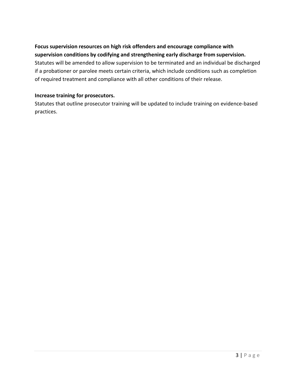#### **Focus supervision resources on high risk offenders and encourage compliance with supervision conditions by codifying and strengthening early discharge from supervision.** Statutes will be amended to allow supervision to be terminated and an individual be discharged if a probationer or parolee meets certain criteria, which include conditions such as completion of required treatment and compliance with all other conditions of their release.

#### **Increase training for prosecutors.**

Statutes that outline prosecutor training will be updated to include training on evidence-based practices.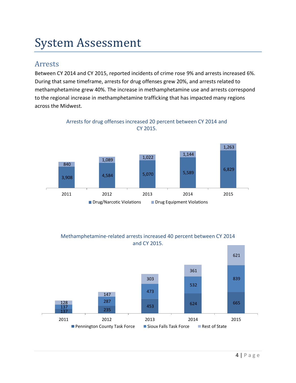# System Assessment

### Arrests

Between CY 2014 and CY 2015, reported incidents of crime rose 9% and arrests increased 6%. During that same timeframe, arrests for drug offenses grew 20%, and arrests related to methamphetamine grew 40%. The increase in methamphetamine use and arrests correspond to the regional increase in methamphetamine trafficking that has impacted many regions across the Midwest.



Arrests for drug offenses increased 20 percent between CY 2014 and CY 2015.

#### Methamphetamine-related arrests increased 40 percent between CY 2014 and CY 2015.

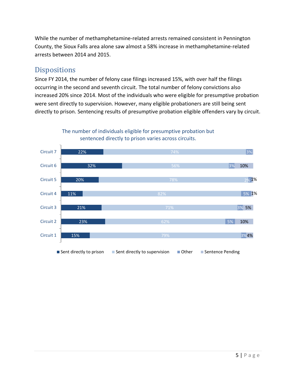While the number of methamphetamine-related arrests remained consistent in Pennington County, the Sioux Falls area alone saw almost a 58% increase in methamphetamine-related arrests between 2014 and 2015.

### Dispositions

Since FY 2014, the number of felony case filings increased 15%, with over half the filings occurring in the second and seventh circuit. The total number of felony convictions also increased 20% since 2014. Most of the individuals who were eligible for presumptive probation were sent directly to supervision. However, many eligible probationers are still being sent directly to prison. Sentencing results of presumptive probation eligible offenders vary by circuit.



The number of individuals eligible for presumptive probation but sentenced directly to prison varies across circuits.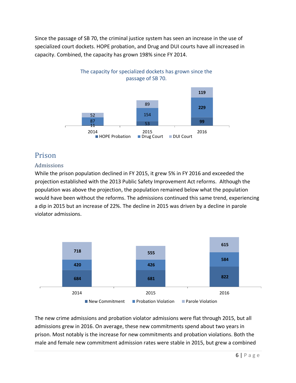Since the passage of SB 70, the criminal justice system has seen an increase in the use of specialized court dockets. HOPE probation, and Drug and DUI courts have all increased in capacity. Combined, the capacity has grown 198% since FY 2014.



## Prison

#### Admissions

While the prison population declined in FY 2015, it grew 5% in FY 2016 and exceeded the projection established with the 2013 Public Safety Improvement Act reforms. Although the population was above the projection, the population remained below what the population would have been without the reforms. The admissions continued this same trend, experiencing a dip in 2015 but an increase of 22%. The decline in 2015 was driven by a decline in parole violator admissions.



The new crime admissions and probation violator admissions were flat through 2015, but all admissions grew in 2016. On average, these new commitments spend about two years in prison. Most notably is the increase for new commitments and probation violations. Both the male and female new commitment admission rates were stable in 2015, but grew a combined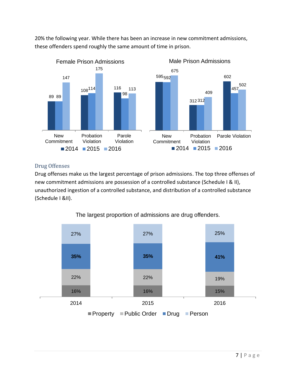20% the following year. While there has been an increase in new commitment admissions, these offenders spend roughly the same amount of time in prison.



#### Drug Offenses

Drug offenses make us the largest percentage of prison admissions. The top three offenses of new commitment admissions are possession of a controlled substance (Schedule I & II), unauthorized ingestion of a controlled substance, and distribution of a controlled substance (Schedule I &II).



The largest proportion of admissions are drug offenders.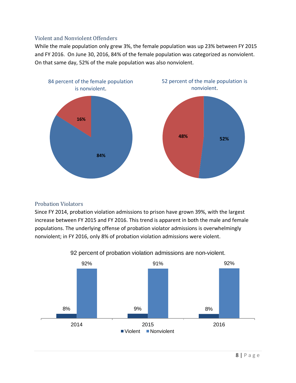#### Violent and Nonviolent Offenders

While the male population only grew 3%, the female population was up 23% between FY 2015 and FY 2016. On June 30, 2016, 84% of the female population was categorized as nonviolent. On that same day, 52% of the male population was also nonviolent.



#### Probation Violators

Since FY 2014, probation violation admissions to prison have grown 39%, with the largest increase between FY 2015 and FY 2016. This trend is apparent in both the male and female populations. The underlying offense of probation violator admissions is overwhelmingly nonviolent; in FY 2016, only 8% of probation violation admissions were violent.



92 percent of probation violation admissions are non-violent.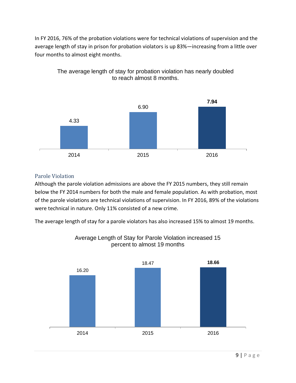In FY 2016, 76% of the probation violations were for technical violations of supervision and the average length of stay in prison for probation violators is up 83%—increasing from a little over four months to almost eight months.



The average length of stay for probation violation has nearly doubled to reach almost 8 months.

#### Parole Violation

Although the parole violation admissions are above the FY 2015 numbers, they still remain below the FY 2014 numbers for both the male and female population. As with probation, most of the parole violations are technical violations of supervision. In FY 2016, 89% of the violations were technical in nature. Only 11% consisted of a new crime.

The average length of stay for a parole violators has also increased 15% to almost 19 months.



#### Average Length of Stay for Parole Violation increased 15 percent to almost 19 months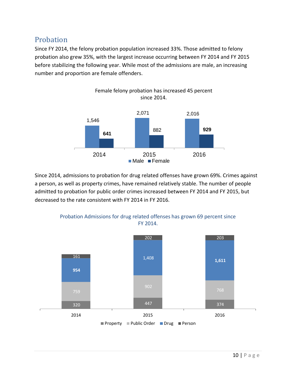## Probation

Since FY 2014, the felony probation population increased 33%. Those admitted to felony probation also grew 35%, with the largest increase occurring between FY 2014 and FY 2015 before stabilizing the following year. While most of the admissions are male, an increasing number and proportion are female offenders.



Since 2014, admissions to probation for drug related offenses have grown 69%. Crimes against a person, as well as property crimes, have remained relatively stable. The number of people admitted to probation for public order crimes increased between FY 2014 and FY 2015, but decreased to the rate consistent with FY 2014 in FY 2016.



Probation Admissions for drug related offenses has grown 69 percent since FY 2014.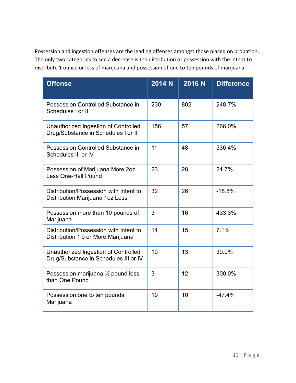Possession and ingestion offenses are the leading offenses amongst those placed on probation. The only two categories to see a decrease is the distribution or possession with the intent to distribute 1 ounce or less of marijuana and possession of one to ten pounds of marijuana.

| <b>Offense</b>                                                                | 2014 N | $\overline{2016}$ N | <b>Difference</b> |
|-------------------------------------------------------------------------------|--------|---------------------|-------------------|
| Possession Controlled Substance in<br>Schedules I or II                       | 230    | 802                 | 248.7%            |
| Unauthorized Ingestion of Controlled<br>Drug/Substance in Schedules I or II   | 156    | 571                 | 266.0%            |
| Possession Controlled Substance in<br>Schedules III or IV                     | 11     | 48                  | 336.4%            |
| Possession of Marijuana More 2oz<br><b>Less One-Half Pound</b>                | 23     | 28                  | 21.7%             |
| Distribution/Possession with Intent to<br>Distribution Marijuana 1oz Less     | 32     | 26                  | $-18.8%$          |
| Possession more than 10 pounds of<br>Marijuana                                | 3      | 16                  | 433.3%            |
| Distribution/Possession with Intent to<br>Distribution 1lb or More Marijuana  | 14     | 15                  | 7.1%              |
| Unauthorized Ingestion of Controlled<br>Drug/Substance in Schedules III or IV | 10     | 13                  | 30.0%             |
| Possession marijuana $\frac{1}{2}$ pound less<br>than One Pound               | 3      | 12                  | 300.0%            |
| Possession one to ten pounds<br>Marijuana                                     | 19     | 10                  | $-47.4%$          |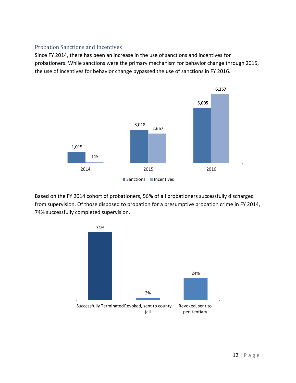#### Probation Sanctions and Incentives

Since FY 2014, there has been an increase in the use of sanctions and incentives for probationers. While sanctions were the primary mechanism for behavior change through 2015, the use of incentives for behavior change bypassed the use of sanctions in FY 2016.



Based on the FY 2014 cohort of probationers, 56% of all probationers successfully discharged from supervision. Of those disposed to probation for a presumptive probation crime in FY 2014, 74% successfully completed supervision.

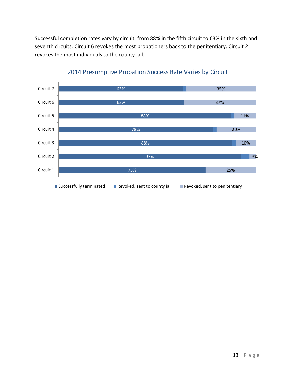Successful completion rates vary by circuit, from 88% in the fifth circuit to 63% in the sixth and seventh circuits. Circuit 6 revokes the most probationers back to the penitentiary. Circuit 2 revokes the most individuals to the county jail.



#### 2014 Presumptive Probation Success Rate Varies by Circuit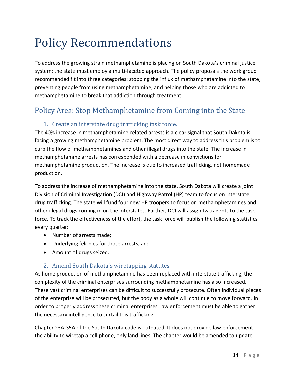# Policy Recommendations

To address the growing strain methamphetamine is placing on South Dakota's criminal justice system; the state must employ a multi-faceted approach. The policy proposals the work group recommended fit into three categories: stopping the influx of methamphetamine into the state, preventing people from using methamphetamine, and helping those who are addicted to methamphetamine to break that addiction through treatment.

## Policy Area: Stop Methamphetamine from Coming into the State

#### 1. Create an interstate drug trafficking task force.

The 40% increase in methamphetamine-related arrests is a clear signal that South Dakota is facing a growing methamphetamine problem. The most direct way to address this problem is to curb the flow of methamphetamines and other illegal drugs into the state. The increase in methamphetamine arrests has corresponded with a decrease in convictions for methamphetamine production. The increase is due to increased trafficking, not homemade production.

To address the increase of methamphetamine into the state, South Dakota will create a joint Division of Criminal Investigation (DCI) and Highway Patrol (HP) team to focus on interstate drug trafficking. The state will fund four new HP troopers to focus on methamphetamines and other illegal drugs coming in on the interstates. Further, DCI will assign two agents to the taskforce. To track the effectiveness of the effort, the task force will publish the following statistics every quarter:

- Number of arrests made;
- Underlying felonies for those arrests; and
- Amount of drugs seized.

#### 2. Amend South Dakota's wiretapping statutes

As home production of methamphetamine has been replaced with interstate trafficking, the complexity of the criminal enterprises surrounding methamphetamine has also increased. These vast criminal enterprises can be difficult to successfully prosecute. Often individual pieces of the enterprise will be prosecuted, but the body as a whole will continue to move forward. In order to properly address these criminal enterprises, law enforcement must be able to gather the necessary intelligence to curtail this trafficking.

Chapter 23A-35A of the South Dakota code is outdated. It does not provide law enforcement the ability to wiretap a cell phone, only land lines. The chapter would be amended to update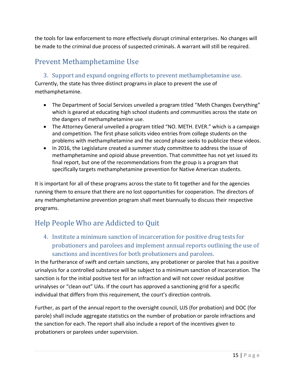the tools for law enforcement to more effectively disrupt criminal enterprises. No changes will be made to the criminal due process of suspected criminals. A warrant will still be required.

## Prevent Methamphetamine Use

#### 3. Support and expand ongoing efforts to prevent methamphetamine use.

Currently, the state has three distinct programs in place to prevent the use of methamphetamine.

- The Department of Social Services unveiled a program titled "Meth Changes Everything" which is geared at educating high school students and communities across the state on the dangers of methamphetamine use.
- The Attorney General unveiled a program titled "NO. METH. EVER." which is a campaign and competition. The first phase solicits video entries from college students on the problems with methamphetamine and the second phase seeks to publicize these videos.
- In 2016, the Legislature created a summer study committee to address the issue of methamphetamine and opioid abuse prevention. That committee has not yet issued its final report, but one of the recommendations from the group is a program that specifically targets methamphetamine prevention for Native American students.

It is important for all of these programs across the state to fit together and for the agencies running them to ensure that there are no lost opportunities for cooperation. The directors of any methamphetamine prevention program shall meet biannually to discuss their respective programs.

# Help People Who are Addicted to Quit

4. Institute a minimum sanction of incarceration for positive drug tests for probationers and parolees and implement annual reports outlining the use of sanctions and incentives for both probationers and parolees.

In the furtherance of swift and certain sanctions, any probationer or parolee that has a positive urinalysis for a controlled substance will be subject to a minimum sanction of incarceration. The sanction is for the initial positive test for an infraction and will not cover residual positive urinalyses or "clean out" UAs. If the court has approved a sanctioning grid for a specific individual that differs from this requirement, the court's direction controls.

Further, as part of the annual report to the oversight council, UJS (for probation) and DOC (for parole) shall include aggregate statistics on the number of probation or parole infractions and the sanction for each. The report shall also include a report of the incentives given to probationers or parolees under supervision.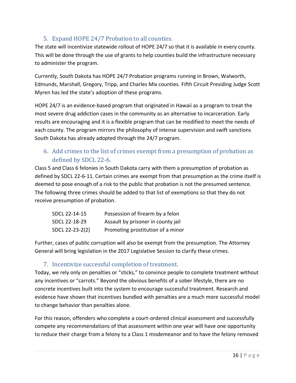#### 5. Expand HOPE 24/7 Probation to all counties.

The state will incentivize statewide rollout of HOPE 24/7 so that it is available in every county. This will be done through the use of grants to help counties build the infrastructure necessary to administer the program.

Currently, South Dakota has HOPE 24/7 Probation programs running in Brown, Walworth, Edmunds, Marshall, Gregory, Tripp, and Charles Mix counties. Fifth Circuit Presiding Judge Scott Myren has led the state's adoption of these programs.

HOPE 24/7 is an evidence-based program that originated in Hawaii as a program to treat the most severe drug addiction cases in the community as an alternative to incarceration. Early results are encouraging and it is a flexible program that can be modified to meet the needs of each county. The program mirrors the philosophy of intense supervision and swift sanctions South Dakota has already adopted through the 24/7 program.

### 6. Add crimes to the list of crimes exempt from a presumption of probation as defined by SDCL 22-6.

Class 5 and Class 6 felonies in South Dakota carry with them a presumption of probation as defined by SDCL 22-6-11. Certain crimes are exempt from that presumption as the crime itself is deemed to pose enough of a risk to the public that probation is not the presumed sentence. The following three crimes should be added to that list of exemptions so that they do not receive presumption of probation.

| SDCL 22-14-15   | Possession of firearm by a felon   |
|-----------------|------------------------------------|
| SDCL 22-18-29   | Assault by prisoner in county jail |
| SDCL 22-23-2(2) | Promoting prostitution of a minor  |

Further, cases of public corruption will also be exempt from the presumption. The Attorney General will bring legislation in the 2017 Legislative Session to clarify these crimes.

#### 7. Incentivize successful completion of treatment.

Today, we rely only on penalties or "sticks," to convince people to complete treatment without any incentives or "carrots." Beyond the obvious benefits of a sober lifestyle, there are no concrete incentives built into the system to encourage successful treatment. Research and evidence have shown that incentives bundled with penalties are a much more successful model to change behavior than penalties alone.

For this reason, offenders who complete a court-ordered clinical assessment and successfully compete any recommendations of that assessment within one year will have one opportunity to reduce their charge from a felony to a Class 1 misdemeanor and to have the felony removed